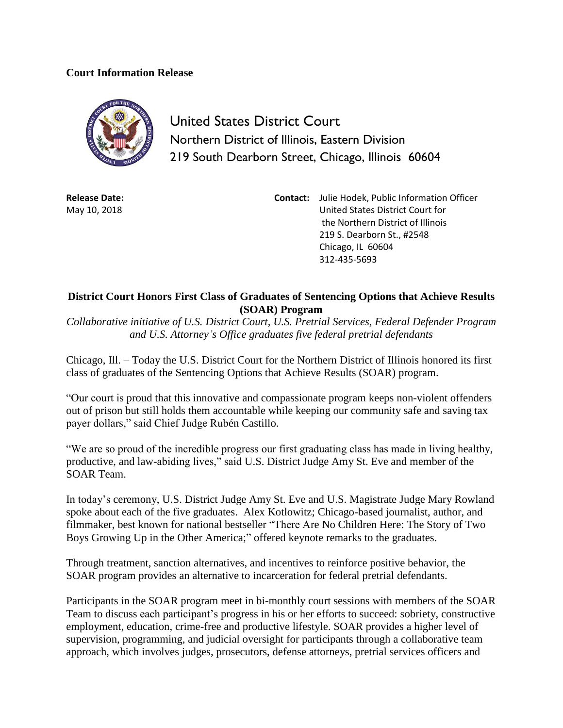## **Court Information Release**



United States District Court Northern District of Illinois, Eastern Division 219 South Dearborn Street, Chicago, Illinois 60604

**Release Date:** May 10, 2018

**Contact:** Julie Hodek, Public Information Officer United States District Court for the Northern District of Illinois 219 S. Dearborn St., #2548 Chicago, IL 60604 312-435-5693

## **District Court Honors First Class of Graduates of Sentencing Options that Achieve Results (SOAR) Program**

*Collaborative initiative of U.S. District Court, U.S. Pretrial Services, Federal Defender Program and U.S. Attorney's Office graduates five federal pretrial defendants*

Chicago, Ill. – Today the U.S. District Court for the Northern District of Illinois honored its first class of graduates of the Sentencing Options that Achieve Results (SOAR) program.

"Our court is proud that this innovative and compassionate program keeps non-violent offenders out of prison but still holds them accountable while keeping our community safe and saving tax payer dollars," said Chief Judge Rubén Castillo.

"We are so proud of the incredible progress our first graduating class has made in living healthy, productive, and law-abiding lives," said U.S. District Judge Amy St. Eve and member of the SOAR Team.

In today's ceremony, U.S. District Judge Amy St. Eve and U.S. Magistrate Judge Mary Rowland spoke about each of the five graduates. Alex Kotlowitz; Chicago-based journalist, author, and filmmaker, best known for national bestseller "There Are No Children Here: The Story of Two Boys Growing Up in the Other America;" offered keynote remarks to the graduates.

Through treatment, sanction alternatives, and incentives to reinforce positive behavior, the SOAR program provides an alternative to incarceration for federal pretrial defendants.

Participants in the SOAR program meet in bi-monthly court sessions with members of the SOAR Team to discuss each participant's progress in his or her efforts to succeed: sobriety, constructive employment, education, crime-free and productive lifestyle. SOAR provides a higher level of supervision, programming, and judicial oversight for participants through a collaborative team approach, which involves judges, prosecutors, defense attorneys, pretrial services officers and